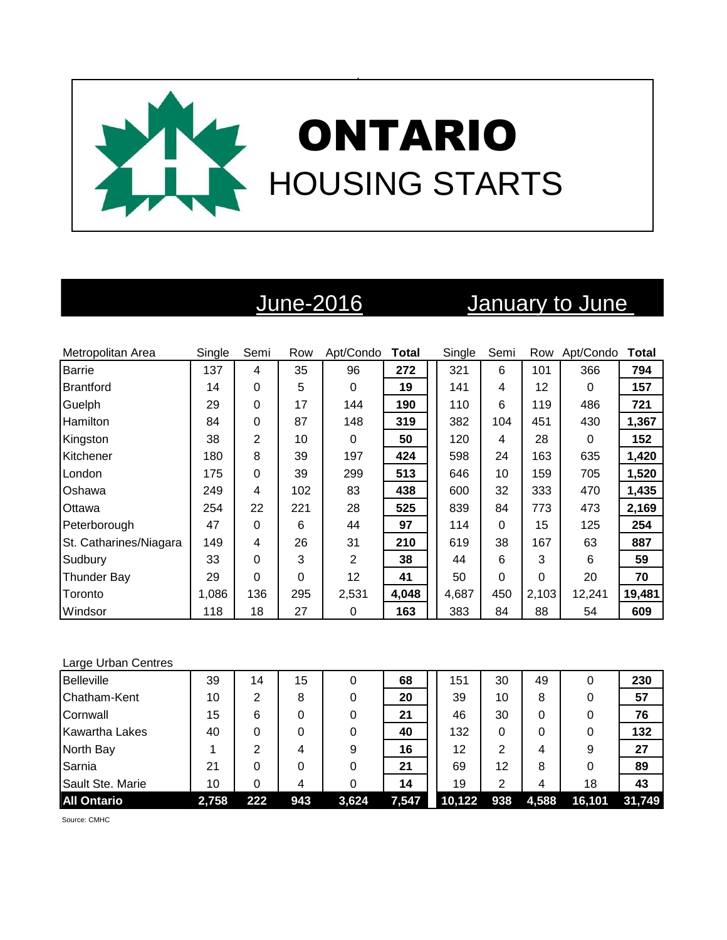

# June-2016 January to June

| Metropolitan Area      | Single | Semi     | Row      | Apt/Condo      | <b>Total</b> | Single | Semi     | Row   | Apt/Condo | <b>Total</b> |
|------------------------|--------|----------|----------|----------------|--------------|--------|----------|-------|-----------|--------------|
| <b>Barrie</b>          | 137    | 4        | 35       | 96             | 272          | 321    | 6        | 101   | 366       | 794          |
| Brantford              | 14     | 0        | 5        | 0              | 19           | 141    | 4        | 12    | 0         | 157          |
| Guelph                 | 29     | 0        | 17       | 144            | 190          | 110    | 6        | 119   | 486       | 721          |
| Hamilton               | 84     | 0        | 87       | 148            | 319          | 382    | 104      | 451   | 430       | 1,367        |
| Kingston               | 38     | 2        | 10       | 0              | 50           | 120    | 4        | 28    | $\Omega$  | 152          |
| Kitchener              | 180    | 8        | 39       | 197            | 424          | 598    | 24       | 163   | 635       | 1,420        |
| London                 | 175    | 0        | 39       | 299            | 513          | 646    | 10       | 159   | 705       | 1,520        |
| Oshawa                 | 249    | 4        | 102      | 83             | 438          | 600    | 32       | 333   | 470       | 1,435        |
| Ottawa                 | 254    | 22       | 221      | 28             | 525          | 839    | 84       | 773   | 473       | 2,169        |
| Peterborough           | 47     | 0        | 6        | 44             | 97           | 114    | $\Omega$ | 15    | 125       | 254          |
| St. Catharines/Niagara | 149    | 4        | 26       | 31             | 210          | 619    | 38       | 167   | 63        | 887          |
| Sudbury                | 33     | $\Omega$ | 3        | $\overline{2}$ | 38           | 44     | 6        | 3     | 6         | 59           |
| <b>Thunder Bay</b>     | 29     | 0        | $\Omega$ | 12             | 41           | 50     | 0        | 0     | 20        | 70           |
| Toronto                | 1,086  | 136      | 295      | 2,531          | 4,048        | 4,687  | 450      | 2,103 | 12,241    | 19,481       |
| Windsor                | 118    | 18       | 27       | 0              | 163          | 383    | 84       | 88    | 54        | 609          |

### Large Urban Centres

| <b>Belleville</b>     | 39    | 14  | 15  | 0     | 68    | 151    | 30  | 49    | 0      | 230    |
|-----------------------|-------|-----|-----|-------|-------|--------|-----|-------|--------|--------|
| Chatham-Kent          | 10    | 2   | 8   |       | 20    | 39     | 10  | 8     | 0      | 57     |
| Cornwall              | 15    | 6   | 0   |       | 21    | 46     | 30  | 0     | 0      | 76     |
| <b>Kawartha Lakes</b> | 40    | 0   | 0   |       | 40    | 132    | 0   | 0     | 0      | 132    |
| North Bay             |       | 2   | 4   | 9     | 16    | 12     | 2   | 4     | 9      | 27     |
| Sarnia                | 21    |     | 0   |       | 21    | 69     | 12  | 8     | 0      | 89     |
| Sault Ste. Marie      | 10    |     | 4   |       | 14    | 19     | 2   | 4     | 18     | 43     |
| <b>All Ontario</b>    | 2,758 | 222 | 943 | 3,624 | 7,547 | 10,122 | 938 | 4,588 | 16,101 | 31,749 |

Source: CMHC